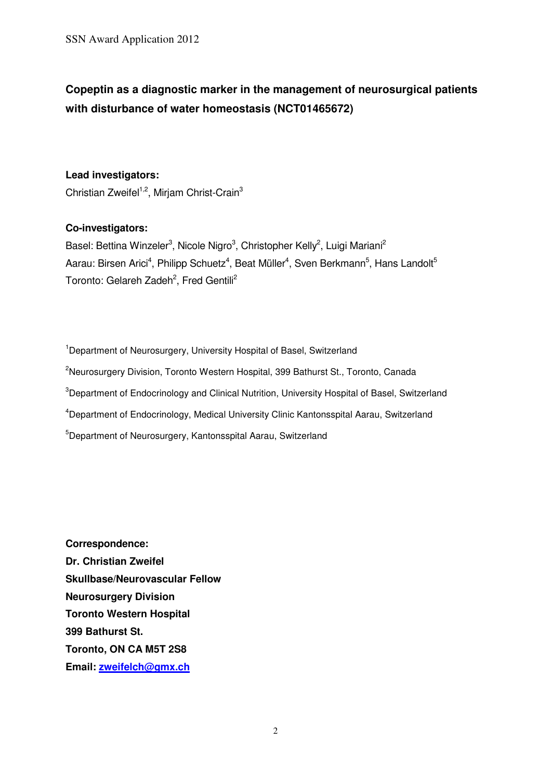# **Copeptin as a diagnostic marker in the management of neurosurgical patients with disturbance of water homeostasis (NCT01465672)**

#### **Lead investigators:**

Christian Zweifel<sup>1,2</sup>, Mirjam Christ-Crain<sup>3</sup>

#### **Co-investigators:**

Basel: Bettina Winzeler<sup>3</sup>, Nicole Nigro<sup>3</sup>, Christopher Kelly<sup>2</sup>, Luigi Mariani<sup>2</sup> Aarau: Birsen Arici<sup>4</sup>, Philipp Schuetz<sup>4</sup>, Beat Müller<sup>4</sup>, Sven Berkmann<sup>5</sup>, Hans Landolt<sup>5</sup> Toronto: Gelareh Zadeh<sup>2</sup>, Fred Gentili<sup>2</sup>

<sup>1</sup> Department of Neurosurgery, University Hospital of Basel, Switzerland <sup>2</sup>Neurosurgery Division, Toronto Western Hospital, 399 Bathurst St., Toronto, Canada <sup>3</sup>Department of Endocrinology and Clinical Nutrition, University Hospital of Basel, Switzerland <sup>4</sup>Department of Endocrinology, Medical University Clinic Kantonsspital Aarau, Switzerland <sup>5</sup>Department of Neurosurgery, Kantonsspital Aarau, Switzerland

**Correspondence: Dr. Christian Zweifel Skullbase/Neurovascular Fellow Neurosurgery Division Toronto Western Hospital 399 Bathurst St. Toronto, ON CA M5T 2S8 Email: zweifelch@gmx.ch**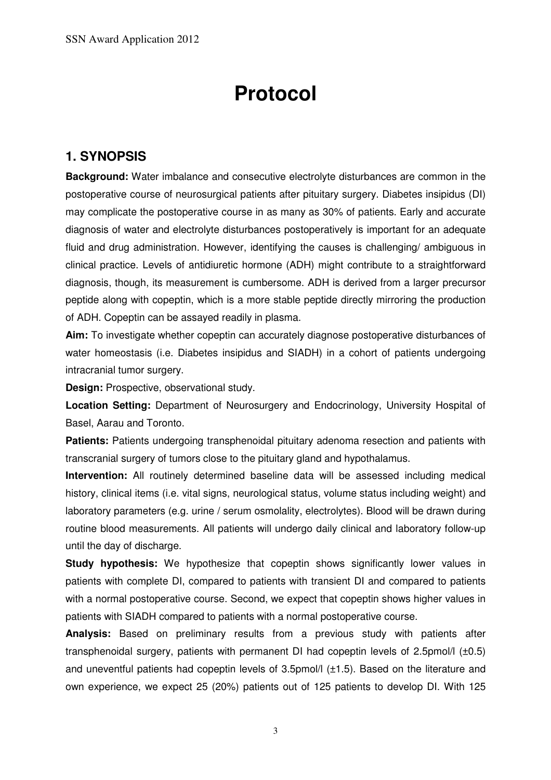# **Protocol**

# **1. SYNOPSIS**

**Background:** Water imbalance and consecutive electrolyte disturbances are common in the postoperative course of neurosurgical patients after pituitary surgery. Diabetes insipidus (DI) may complicate the postoperative course in as many as 30% of patients. Early and accurate diagnosis of water and electrolyte disturbances postoperatively is important for an adequate fluid and drug administration. However, identifying the causes is challenging/ ambiguous in clinical practice. Levels of antidiuretic hormone (ADH) might contribute to a straightforward diagnosis, though, its measurement is cumbersome. ADH is derived from a larger precursor peptide along with copeptin, which is a more stable peptide directly mirroring the production of ADH. Copeptin can be assayed readily in plasma.

**Aim:** To investigate whether copeptin can accurately diagnose postoperative disturbances of water homeostasis (i.e. Diabetes insipidus and SIADH) in a cohort of patients undergoing intracranial tumor surgery.

**Design:** Prospective, observational study.

**Location Setting:** Department of Neurosurgery and Endocrinology, University Hospital of Basel, Aarau and Toronto.

**Patients:** Patients undergoing transphenoidal pituitary adenoma resection and patients with transcranial surgery of tumors close to the pituitary gland and hypothalamus.

**Intervention:** All routinely determined baseline data will be assessed including medical history, clinical items (i.e. vital signs, neurological status, volume status including weight) and laboratory parameters (e.g. urine / serum osmolality, electrolytes). Blood will be drawn during routine blood measurements. All patients will undergo daily clinical and laboratory follow-up until the day of discharge.

**Study hypothesis:** We hypothesize that copeptin shows significantly lower values in patients with complete DI, compared to patients with transient DI and compared to patients with a normal postoperative course. Second, we expect that copeptin shows higher values in patients with SIADH compared to patients with a normal postoperative course.

**Analysis:** Based on preliminary results from a previous study with patients after transphenoidal surgery, patients with permanent DI had copeptin levels of 2.5pmol/l (±0.5) and uneventful patients had copeptin levels of 3.5pmol/l (±1.5). Based on the literature and own experience, we expect 25 (20%) patients out of 125 patients to develop DI. With 125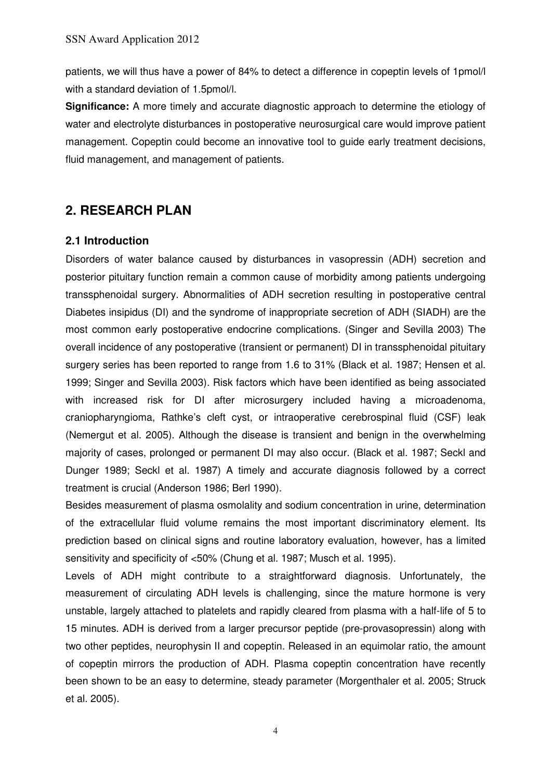patients, we will thus have a power of 84% to detect a difference in copeptin levels of 1pmol/l with a standard deviation of 1.5pmol/l.

**Significance:** A more timely and accurate diagnostic approach to determine the etiology of water and electrolyte disturbances in postoperative neurosurgical care would improve patient management. Copeptin could become an innovative tool to guide early treatment decisions, fluid management, and management of patients.

# **2. RESEARCH PLAN**

#### **2.1 Introduction**

Disorders of water balance caused by disturbances in vasopressin (ADH) secretion and posterior pituitary function remain a common cause of morbidity among patients undergoing transsphenoidal surgery. Abnormalities of ADH secretion resulting in postoperative central Diabetes insipidus (DI) and the syndrome of inappropriate secretion of ADH (SIADH) are the most common early postoperative endocrine complications. (Singer and Sevilla 2003) The overall incidence of any postoperative (transient or permanent) DI in transsphenoidal pituitary surgery series has been reported to range from 1.6 to 31% (Black et al. 1987; Hensen et al. 1999; Singer and Sevilla 2003). Risk factors which have been identified as being associated with increased risk for DI after microsurgery included having a microadenoma, craniopharyngioma, Rathke's cleft cyst, or intraoperative cerebrospinal fluid (CSF) leak (Nemergut et al. 2005). Although the disease is transient and benign in the overwhelming majority of cases, prolonged or permanent DI may also occur. (Black et al. 1987; Seckl and Dunger 1989; Seckl et al. 1987) A timely and accurate diagnosis followed by a correct treatment is crucial (Anderson 1986; Berl 1990).

Besides measurement of plasma osmolality and sodium concentration in urine, determination of the extracellular fluid volume remains the most important discriminatory element. Its prediction based on clinical signs and routine laboratory evaluation, however, has a limited sensitivity and specificity of <50% (Chung et al. 1987; Musch et al. 1995).

Levels of ADH might contribute to a straightforward diagnosis. Unfortunately, the measurement of circulating ADH levels is challenging, since the mature hormone is very unstable, largely attached to platelets and rapidly cleared from plasma with a half-life of 5 to 15 minutes. ADH is derived from a larger precursor peptide (pre-provasopressin) along with two other peptides, neurophysin II and copeptin. Released in an equimolar ratio, the amount of copeptin mirrors the production of ADH. Plasma copeptin concentration have recently been shown to be an easy to determine, steady parameter (Morgenthaler et al. 2005; Struck et al. 2005).

4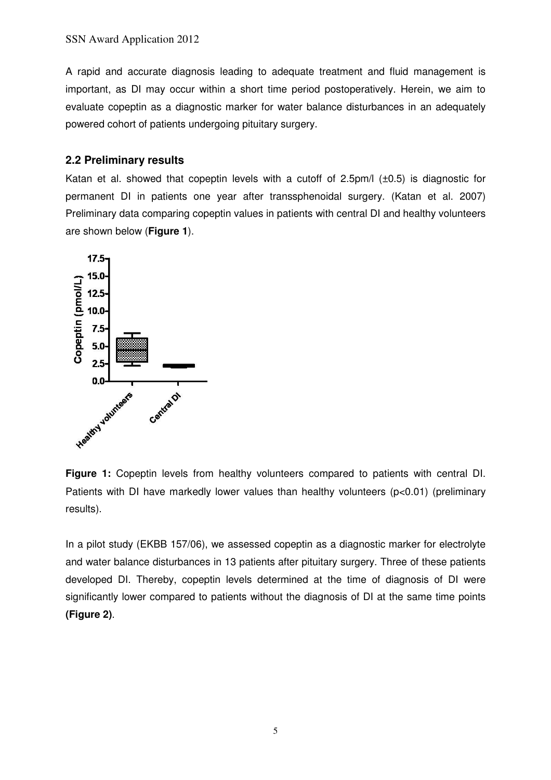A rapid and accurate diagnosis leading to adequate treatment and fluid management is important, as DI may occur within a short time period postoperatively. Herein, we aim to evaluate copeptin as a diagnostic marker for water balance disturbances in an adequately powered cohort of patients undergoing pituitary surgery.

## **2.2 Preliminary results**

Katan et al. showed that copeptin levels with a cutoff of 2.5pm/l (±0.5) is diagnostic for permanent DI in patients one year after transsphenoidal surgery. (Katan et al. 2007) Preliminary data comparing copeptin values in patients with central DI and healthy volunteers are shown below (**Figure 1**).



**Figure 1:** Copeptin levels from healthy volunteers compared to patients with central DI. Patients with DI have markedly lower values than healthy volunteers (p<0.01) (preliminary results).

In a pilot study (EKBB 157/06), we assessed copeptin as a diagnostic marker for electrolyte and water balance disturbances in 13 patients after pituitary surgery. Three of these patients developed DI. Thereby, copeptin levels determined at the time of diagnosis of DI were significantly lower compared to patients without the diagnosis of DI at the same time points **(Figure 2)**.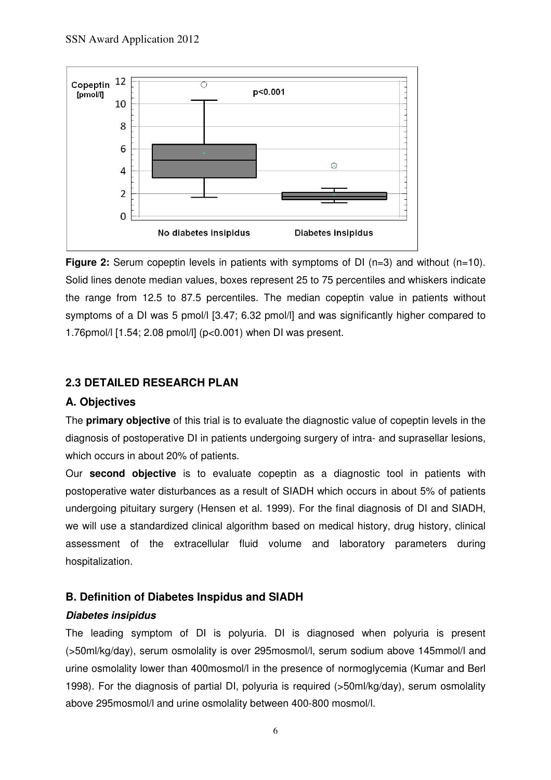

**Figure 2:** Serum copeptin levels in patients with symptoms of DI (n=3) and without (n=10). Solid lines denote median values, boxes represent 25 to 75 percentiles and whiskers indicate the range from 12.5 to 87.5 percentiles. The median copeptin value in patients without symptoms of a DI was 5 pmol/l [3.47; 6.32 pmol/l] and was significantly higher compared to 1.76pmol/l [1.54; 2.08 pmol/l] (p<0.001) when DI was present.

# **2.3 DETAILED RESEARCH PLAN**

# **A. Objectives**

The **primary objective** of this trial is to evaluate the diagnostic value of copeptin levels in the diagnosis of postoperative DI in patients undergoing surgery of intra- and suprasellar lesions, which occurs in about 20% of patients.

Our **second objective** is to evaluate copeptin as a diagnostic tool in patients with postoperative water disturbances as a result of SIADH which occurs in about 5% of patients undergoing pituitary surgery (Hensen et al. 1999). For the final diagnosis of DI and SIADH, we will use a standardized clinical algorithm based on medical history, drug history, clinical assessment of the extracellular fluid volume and laboratory parameters during hospitalization.

# **B. Definition of Diabetes Inspidus and SIADH**

#### **Diabetes insipidus**

The leading symptom of DI is polyuria. DI is diagnosed when polyuria is present (>50ml/kg/day), serum osmolality is over 295mosmol/l, serum sodium above 145mmol/l and urine osmolality lower than 400mosmol/l in the presence of normoglycemia (Kumar and Berl 1998). For the diagnosis of partial DI, polyuria is required (>50ml/kg/day), serum osmolality above 295mosmol/l and urine osmolality between 400-800 mosmol/l.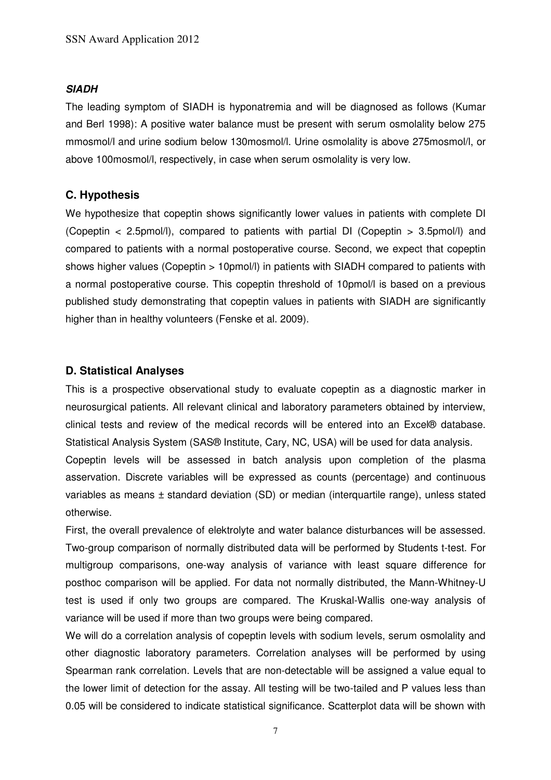#### **SIADH**

The leading symptom of SIADH is hyponatremia and will be diagnosed as follows (Kumar and Berl 1998): A positive water balance must be present with serum osmolality below 275 mmosmol/l and urine sodium below 130mosmol/l. Urine osmolality is above 275mosmol/l, or above 100mosmol/l, respectively, in case when serum osmolality is very low.

#### **C. Hypothesis**

We hypothesize that copeptin shows significantly lower values in patients with complete DI (Copeptin < 2.5pmol/l), compared to patients with partial DI (Copeptin > 3.5pmol/l) and compared to patients with a normal postoperative course. Second, we expect that copeptin shows higher values (Copeptin > 10pmol/l) in patients with SIADH compared to patients with a normal postoperative course. This copeptin threshold of 10pmol/l is based on a previous published study demonstrating that copeptin values in patients with SIADH are significantly higher than in healthy volunteers (Fenske et al. 2009).

#### **D. Statistical Analyses**

This is a prospective observational study to evaluate copeptin as a diagnostic marker in neurosurgical patients. All relevant clinical and laboratory parameters obtained by interview, clinical tests and review of the medical records will be entered into an Excel® database. Statistical Analysis System (SAS® Institute, Cary, NC, USA) will be used for data analysis. Copeptin levels will be assessed in batch analysis upon completion of the plasma asservation. Discrete variables will be expressed as counts (percentage) and continuous variables as means ± standard deviation (SD) or median (interquartile range), unless stated otherwise.

First, the overall prevalence of elektrolyte and water balance disturbances will be assessed. Two-group comparison of normally distributed data will be performed by Students t-test. For multigroup comparisons, one-way analysis of variance with least square difference for posthoc comparison will be applied. For data not normally distributed, the Mann-Whitney-U test is used if only two groups are compared. The Kruskal-Wallis one-way analysis of variance will be used if more than two groups were being compared.

We will do a correlation analysis of copeptin levels with sodium levels, serum osmolality and other diagnostic laboratory parameters. Correlation analyses will be performed by using Spearman rank correlation. Levels that are non-detectable will be assigned a value equal to the lower limit of detection for the assay. All testing will be two-tailed and P values less than 0.05 will be considered to indicate statistical significance. Scatterplot data will be shown with

7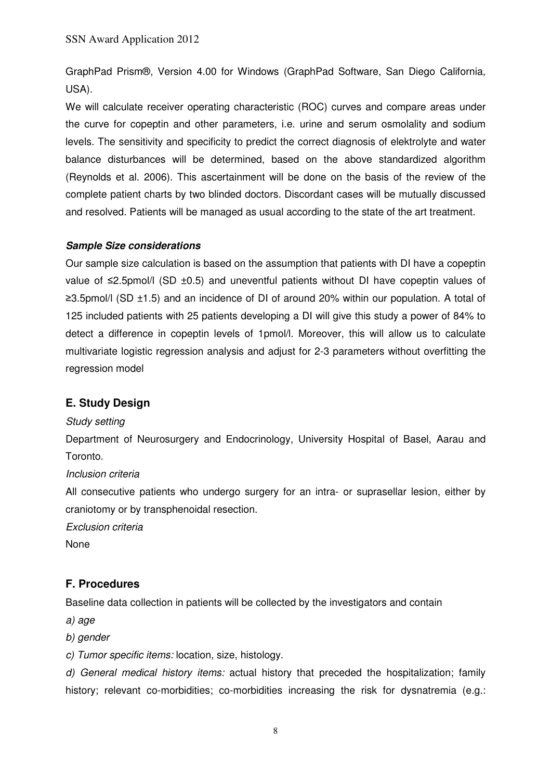GraphPad Prism®, Version 4.00 for Windows (GraphPad Software, San Diego California, USA).

We will calculate receiver operating characteristic (ROC) curves and compare areas under the curve for copeptin and other parameters, i.e. urine and serum osmolality and sodium levels. The sensitivity and specificity to predict the correct diagnosis of elektrolyte and water balance disturbances will be determined, based on the above standardized algorithm (Reynolds et al. 2006). This ascertainment will be done on the basis of the review of the complete patient charts by two blinded doctors. Discordant cases will be mutually discussed and resolved. Patients will be managed as usual according to the state of the art treatment.

#### **Sample Size considerations**

Our sample size calculation is based on the assumption that patients with DI have a copeptin value of ≤2.5pmol/l (SD ±0.5) and uneventful patients without DI have copeptin values of ≥3.5pmol/l (SD ±1.5) and an incidence of DI of around 20% within our population. A total of 125 included patients with 25 patients developing a DI will give this study a power of 84% to detect a difference in copeptin levels of 1pmol/l. Moreover, this will allow us to calculate multivariate logistic regression analysis and adjust for 2-3 parameters without overfitting the regression model

#### **E. Study Design**

#### Study setting

Department of Neurosurgery and Endocrinology, University Hospital of Basel, Aarau and Toronto.

#### Inclusion criteria

All consecutive patients who undergo surgery for an intra- or suprasellar lesion, either by craniotomy or by transphenoidal resection.

Exclusion criteria

None

# **F. Procedures**

Baseline data collection in patients will be collected by the investigators and contain

a) age

b) gender

c) Tumor specific items: location, size, histology.

d) General medical history items: actual history that preceded the hospitalization; family history; relevant co-morbidities; co-morbidities increasing the risk for dysnatremia (e.g.: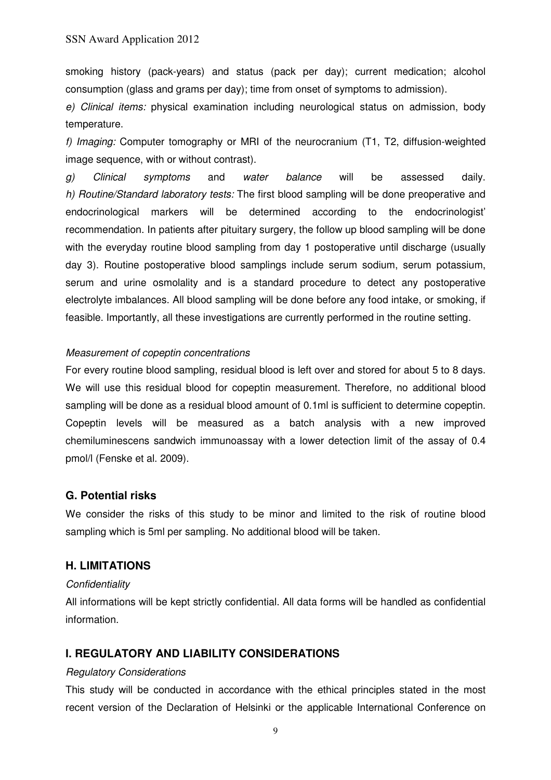smoking history (pack-years) and status (pack per day); current medication; alcohol consumption (glass and grams per day); time from onset of symptoms to admission).

e) Clinical items: physical examination including neurological status on admission, body temperature.

f) Imaging: Computer tomography or MRI of the neurocranium (T1, T2, diffusion-weighted image sequence, with or without contrast).

g) Clinical symptoms and water balance will be assessed daily. h) Routine/Standard laboratory tests: The first blood sampling will be done preoperative and endocrinological markers will be determined according to the endocrinologist' recommendation. In patients after pituitary surgery, the follow up blood sampling will be done with the everyday routine blood sampling from day 1 postoperative until discharge (usually day 3). Routine postoperative blood samplings include serum sodium, serum potassium, serum and urine osmolality and is a standard procedure to detect any postoperative electrolyte imbalances. All blood sampling will be done before any food intake, or smoking, if feasible. Importantly, all these investigations are currently performed in the routine setting.

#### Measurement of copeptin concentrations

For every routine blood sampling, residual blood is left over and stored for about 5 to 8 days. We will use this residual blood for copeptin measurement. Therefore, no additional blood sampling will be done as a residual blood amount of 0.1ml is sufficient to determine copeptin. Copeptin levels will be measured as a batch analysis with a new improved chemiluminescens sandwich immunoassay with a lower detection limit of the assay of 0.4 pmol/l (Fenske et al. 2009).

#### **G. Potential risks**

We consider the risks of this study to be minor and limited to the risk of routine blood sampling which is 5ml per sampling. No additional blood will be taken.

#### **H. LIMITATIONS**

#### **Confidentiality**

All informations will be kept strictly confidential. All data forms will be handled as confidential information.

## **I. REGULATORY AND LIABILITY CONSIDERATIONS**

#### Regulatory Considerations

This study will be conducted in accordance with the ethical principles stated in the most recent version of the Declaration of Helsinki or the applicable International Conference on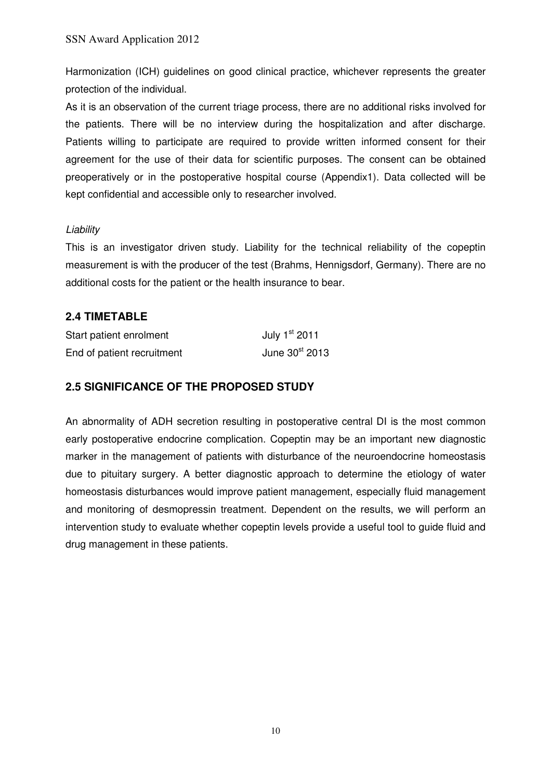Harmonization (ICH) guidelines on good clinical practice, whichever represents the greater protection of the individual.

As it is an observation of the current triage process, there are no additional risks involved for the patients. There will be no interview during the hospitalization and after discharge. Patients willing to participate are required to provide written informed consent for their agreement for the use of their data for scientific purposes. The consent can be obtained preoperatively or in the postoperative hospital course (Appendix1). Data collected will be kept confidential and accessible only to researcher involved.

## Liability

This is an investigator driven study. Liability for the technical reliability of the copeptin measurement is with the producer of the test (Brahms, Hennigsdorf, Germany). There are no additional costs for the patient or the health insurance to bear.

# **2.4 TIMETABLE**

| Start patient enrolment    | July 1st 2011    |
|----------------------------|------------------|
| End of patient recruitment | June $30st$ 2013 |

# **2.5 SIGNIFICANCE OF THE PROPOSED STUDY**

An abnormality of ADH secretion resulting in postoperative central DI is the most common early postoperative endocrine complication. Copeptin may be an important new diagnostic marker in the management of patients with disturbance of the neuroendocrine homeostasis due to pituitary surgery. A better diagnostic approach to determine the etiology of water homeostasis disturbances would improve patient management, especially fluid management and monitoring of desmopressin treatment. Dependent on the results, we will perform an intervention study to evaluate whether copeptin levels provide a useful tool to guide fluid and drug management in these patients.